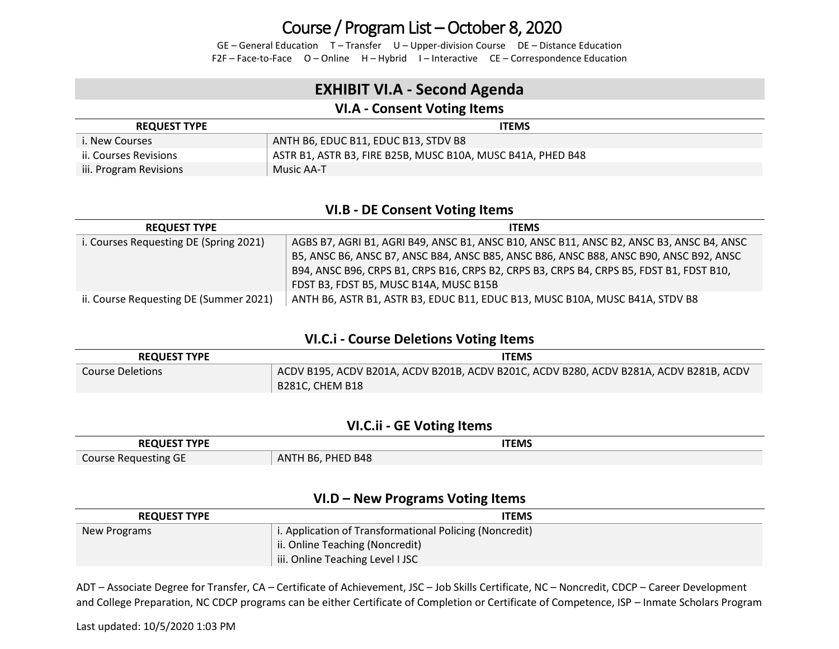GE – General Education T – Transfer U – Upper-division Course DE – Distance Education F2F – Face-to-Face O – Online H – Hybrid I – Interactive CE – Correspondence Education

### **EXHIBIT VI.A - Second Agenda**

### **VI.A - Consent Voting Items**

| <b>REQUEST TYPE</b>    | <b>ITEMS</b>                                                |
|------------------------|-------------------------------------------------------------|
| <b>i. New Courses</b>  | ANTH B6, EDUC B11, EDUC B13, STDV B8                        |
| ii. Courses Revisions  | ASTR B1, ASTR B3, FIRE B25B, MUSC B10A, MUSC B41A, PHED B48 |
| iii. Program Revisions | Music AA-T                                                  |

#### **VI.B - DE Consent Voting Items**

| <b>REQUEST TYPE</b>                    | <b>ITEMS</b>                                                                             |
|----------------------------------------|------------------------------------------------------------------------------------------|
| i. Courses Requesting DE (Spring 2021) | AGBS B7, AGRI B1, AGRI B49, ANSC B1, ANSC B10, ANSC B11, ANSC B2, ANSC B3, ANSC B4, ANSC |
|                                        | B5, ANSC B6, ANSC B7, ANSC B84, ANSC B85, ANSC B86, ANSC B88, ANSC B90, ANSC B92, ANSC   |
|                                        | B94, ANSC B96, CRPS B1, CRPS B16, CRPS B2, CRPS B3, CRPS B4, CRPS B5, FDST B1, FDST B10, |
|                                        | FDST B3, FDST B5, MUSC B14A, MUSC B15B                                                   |
| ii. Course Requesting DE (Summer 2021) | ANTH B6, ASTR B1, ASTR B3, EDUC B11, EDUC B13, MUSC B10A, MUSC B41A, STDV B8             |

#### **VI.C.i - Course Deletions Voting Items**

| <b>REQUEST TYPE</b> | <b>ITEMS</b>                                                                                    |  |  |  |
|---------------------|-------------------------------------------------------------------------------------------------|--|--|--|
| Course Deletions    | $^\circ$ ACDV B195, ACDV B201A, ACDV B201B, ACDV B201C, ACDV B280, ACDV B281A, ACDV B281B, ACDV |  |  |  |
|                     | B281C. CHEM B18                                                                                 |  |  |  |

#### **VI.C.ii - GE Voting Items**

| <b>REQUEST TYPE</b>  | <b>ITEMS</b>             |
|----------------------|--------------------------|
| Course Requesting GE | , PHED B48<br>ANTH $B6,$ |

#### **VI.D – New Programs Voting Items**

| <b>REQUEST TYPE</b> | <b>ITEMS</b>                                            |
|---------------------|---------------------------------------------------------|
| New Programs        | i. Application of Transformational Policing (Noncredit) |
|                     | ii. Online Teaching (Noncredit)                         |
|                     | iii. Online Teaching Level I JSC                        |

ADT – Associate Degree for Transfer, CA – Certificate of Achievement, JSC – Job Skills Certificate, NC – Noncredit, CDCP – Career Development and College Preparation, NC CDCP programs can be either Certificate of Completion or Certificate of Competence, ISP – Inmate Scholars Program

Last updated: 10/5/2020 1:03 PM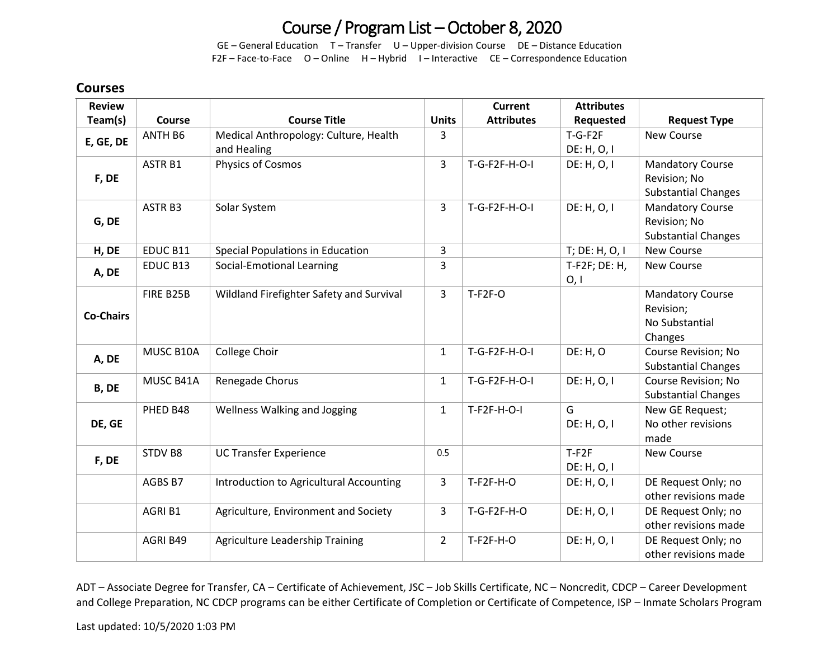GE – General Education T – Transfer U – Upper-division Course DE – Distance Education F2F – Face-to-Face O – Online H – Hybrid I – Interactive CE – Correspondence Education

### **Courses**

| <b>Review</b>    |                    |                                          |                | <b>Current</b>    | <b>Attributes</b> |                            |
|------------------|--------------------|------------------------------------------|----------------|-------------------|-------------------|----------------------------|
| Team(s)          | <b>Course</b>      | <b>Course Title</b>                      | <b>Units</b>   | <b>Attributes</b> | Requested         | <b>Request Type</b>        |
| E, GE, DE        | ANTH B6            | Medical Anthropology: Culture, Health    | 3              |                   | $T-G-F2F$         | <b>New Course</b>          |
|                  |                    | and Healing                              |                |                   | DE: H, O, I       |                            |
|                  | ASTR <sub>B1</sub> | Physics of Cosmos                        | $\overline{3}$ | T-G-F2F-H-O-I     | DE: H, O, I       | <b>Mandatory Course</b>    |
| F, DE            |                    |                                          |                |                   |                   | Revision; No               |
|                  |                    |                                          |                |                   |                   | <b>Substantial Changes</b> |
|                  | ASTR <sub>B3</sub> | Solar System                             | $\overline{3}$ | T-G-F2F-H-O-I     | DE: H, O, I       | <b>Mandatory Course</b>    |
| G, DE            |                    |                                          |                |                   |                   | Revision; No               |
|                  |                    |                                          |                |                   |                   | <b>Substantial Changes</b> |
| H, DE            | EDUC B11           | Special Populations in Education         | $\overline{3}$ |                   | T; DE: H, O, I    | <b>New Course</b>          |
| A, DE            | EDUC B13           | Social-Emotional Learning                | 3              |                   | $T-F2F$ ; DE: H,  | New Course                 |
|                  |                    |                                          |                |                   | 0, 1              |                            |
|                  | FIRE B25B          | Wildland Firefighter Safety and Survival | $\overline{3}$ | $T-F2F-O$         |                   | <b>Mandatory Course</b>    |
| <b>Co-Chairs</b> |                    |                                          |                |                   |                   | Revision;                  |
|                  |                    |                                          |                |                   |                   | No Substantial             |
|                  |                    |                                          |                |                   |                   | Changes                    |
| A, DE            | MUSC B10A          | College Choir                            | $\mathbf{1}$   | $T-G-F2F-H-O-I$   | DE: H, O          | Course Revision; No        |
|                  |                    |                                          |                |                   |                   | <b>Substantial Changes</b> |
| B, DE            | MUSC B41A          | Renegade Chorus                          | $\mathbf{1}$   | $T-G-F2F-H-O-I$   | DE: H, O, I       | <b>Course Revision; No</b> |
|                  |                    |                                          |                |                   |                   | <b>Substantial Changes</b> |
|                  | PHED B48           | Wellness Walking and Jogging             | $\mathbf{1}$   | $T-F2F-H-O-I$     | G                 | New GE Request;            |
| DE, GE           |                    |                                          |                |                   | DE: H, O, I       | No other revisions         |
|                  |                    |                                          |                |                   |                   | made                       |
| F, DE            | STDV B8            | <b>UC Transfer Experience</b>            | 0.5            |                   | $T-F2F$           | <b>New Course</b>          |
|                  |                    |                                          |                |                   | DE: H, O, I       |                            |
|                  | AGBS B7            | Introduction to Agricultural Accounting  | 3              | $T-F2F-H-O$       | DE: H, O, I       | DE Request Only; no        |
|                  |                    |                                          |                |                   |                   | other revisions made       |
|                  | AGRI B1            | Agriculture, Environment and Society     | $\overline{3}$ | $T-G-F2F-H-O$     | DE: H, O, I       | DE Request Only; no        |
|                  |                    |                                          |                |                   |                   | other revisions made       |
|                  | AGRI B49           | Agriculture Leadership Training          | $\overline{2}$ | $T-F2F-H-O$       | DE: H, O, I       | DE Request Only; no        |
|                  |                    |                                          |                |                   |                   | other revisions made       |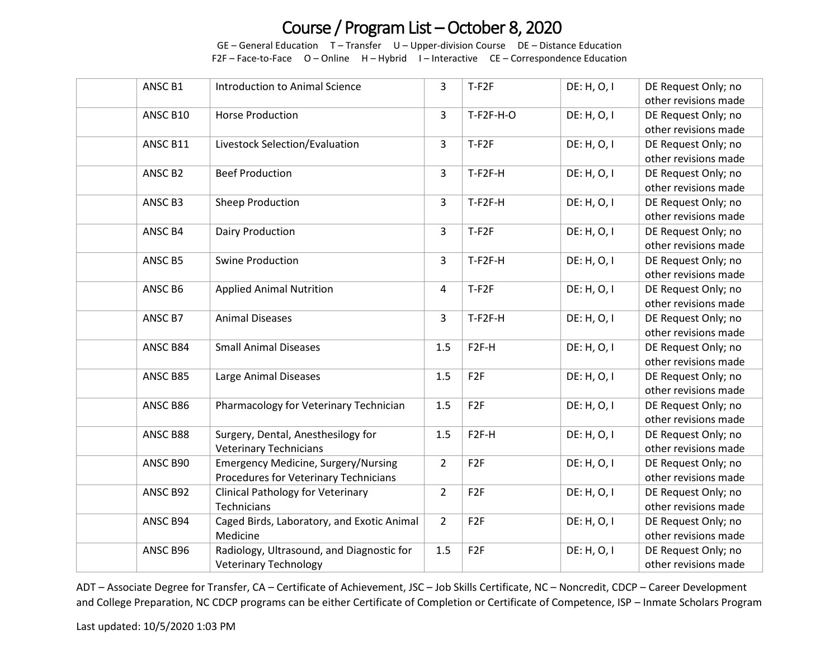GE – General Education T – Transfer U – Upper-division Course DE – Distance Education F2F – Face-to-Face O – Online H – Hybrid I – Interactive CE – Correspondence Education

| ANSC B1             | <b>Introduction to Animal Science</b>      | 3              | $T-F2F$           | DE: H, O, I | DE Request Only; no  |
|---------------------|--------------------------------------------|----------------|-------------------|-------------|----------------------|
|                     |                                            |                |                   |             | other revisions made |
| ANSC B10            | <b>Horse Production</b>                    | $\overline{3}$ | $T-F2F-H-O$       | DE: H, O, I | DE Request Only; no  |
|                     |                                            |                |                   |             | other revisions made |
| ANSC B11            | Livestock Selection/Evaluation             | 3              | $T-F2F$           | DE: H, O, I | DE Request Only; no  |
|                     |                                            |                |                   |             | other revisions made |
| ANSC B <sub>2</sub> | <b>Beef Production</b>                     | 3              | $T-F2F-H$         | DE: H, O, I | DE Request Only; no  |
|                     |                                            |                |                   |             | other revisions made |
| ANSC B3             | Sheep Production                           | 3              | T-F2F-H           | DE: H, O, I | DE Request Only; no  |
|                     |                                            |                |                   |             | other revisions made |
| ANSC B4             | Dairy Production                           | 3              | $T-F2F$           | DE: H, O, I | DE Request Only; no  |
|                     |                                            |                |                   |             | other revisions made |
| ANSC B5             | <b>Swine Production</b>                    | 3              | T-F2F-H           | DE: H, O, I | DE Request Only; no  |
|                     |                                            |                |                   |             | other revisions made |
| ANSC B6             | <b>Applied Animal Nutrition</b>            | 4              | $T-F2F$           | DE: H, O, I | DE Request Only; no  |
|                     |                                            |                |                   |             | other revisions made |
| ANSC B7             | <b>Animal Diseases</b>                     | 3              | $T-F2F-H$         | DE: H, O, I | DE Request Only; no  |
|                     |                                            |                |                   |             | other revisions made |
| ANSC B84            | <b>Small Animal Diseases</b>               | 1.5            | F <sub>2F-H</sub> | DE: H, O, I | DE Request Only; no  |
|                     |                                            |                |                   |             | other revisions made |
| ANSC B85            | Large Animal Diseases                      | 1.5            | F <sub>2F</sub>   | DE: H, O, I | DE Request Only; no  |
|                     |                                            |                |                   |             | other revisions made |
| ANSC B86            | Pharmacology for Veterinary Technician     | 1.5            | F <sub>2F</sub>   | DE: H, O, I | DE Request Only; no  |
|                     |                                            |                |                   |             | other revisions made |
| ANSC B88            | Surgery, Dental, Anesthesilogy for         | 1.5            | F <sub>2F-H</sub> | DE: H, O, I | DE Request Only; no  |
|                     | <b>Veterinary Technicians</b>              |                |                   |             | other revisions made |
| ANSC B90            | <b>Emergency Medicine, Surgery/Nursing</b> | $\overline{2}$ | F <sub>2F</sub>   | DE: H, O, I | DE Request Only; no  |
|                     | Procedures for Veterinary Technicians      |                |                   |             | other revisions made |
| ANSC B92            | <b>Clinical Pathology for Veterinary</b>   | $\overline{2}$ | F <sub>2F</sub>   | DE: H, O, I | DE Request Only; no  |
|                     | Technicians                                |                |                   |             | other revisions made |
| ANSC B94            | Caged Birds, Laboratory, and Exotic Animal | $\overline{2}$ | F <sub>2F</sub>   | DE: H, O, I | DE Request Only; no  |
|                     | Medicine                                   |                |                   |             | other revisions made |
| ANSC B96            | Radiology, Ultrasound, and Diagnostic for  | 1.5            | F <sub>2F</sub>   | DE: H, O, I | DE Request Only; no  |
|                     | <b>Veterinary Technology</b>               |                |                   |             | other revisions made |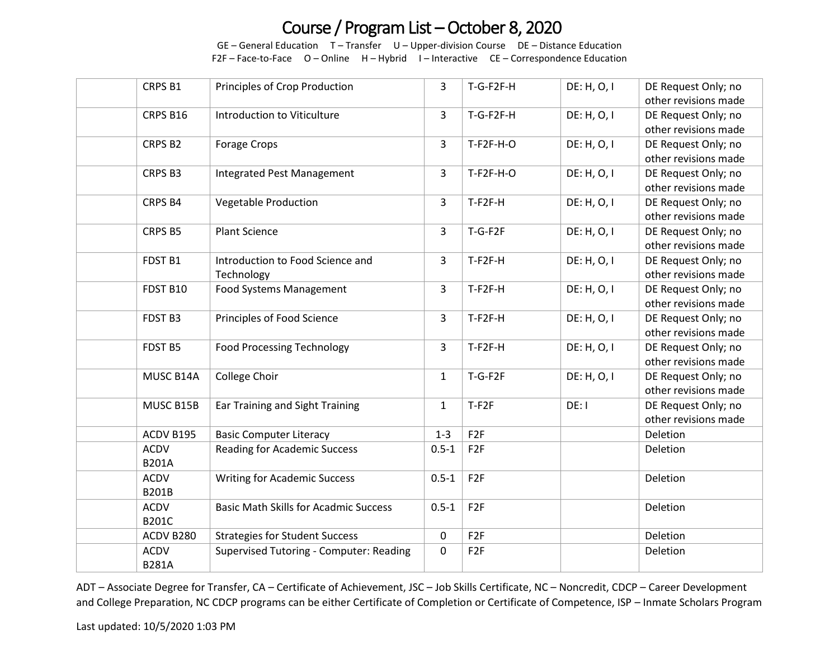GE – General Education T – Transfer U – Upper-division Course DE – Distance Education F2F – Face-to-Face O – Online H – Hybrid I – Interactive CE – Correspondence Education

| CRPS B1      | Principles of Crop Production                | 3            | T-G-F2F-H       | DE: H, O, I | DE Request Only; no  |
|--------------|----------------------------------------------|--------------|-----------------|-------------|----------------------|
|              |                                              |              |                 |             | other revisions made |
| CRPS B16     | Introduction to Viticulture                  | 3            | T-G-F2F-H       | DE: H, O, I | DE Request Only; no  |
|              |                                              |              |                 |             | other revisions made |
| CRPS B2      | Forage Crops                                 | 3            | $T-F2F-H-O$     | DE: H, O, I | DE Request Only; no  |
|              |                                              |              |                 |             | other revisions made |
| CRPS B3      | Integrated Pest Management                   | 3            | $T-F2F-H-O$     | DE: H, O, I | DE Request Only; no  |
|              |                                              |              |                 |             | other revisions made |
| CRPS B4      | <b>Vegetable Production</b>                  | 3            | T-F2F-H         | DE: H, O, I | DE Request Only; no  |
|              |                                              |              |                 |             | other revisions made |
| CRPS B5      | <b>Plant Science</b>                         | 3            | $T-G-F2F$       | DE: H, O, I | DE Request Only; no  |
|              |                                              |              |                 |             | other revisions made |
| FDST B1      | Introduction to Food Science and             | 3            | T-F2F-H         | DE: H, O, I | DE Request Only; no  |
|              | Technology                                   |              |                 |             | other revisions made |
| FDST B10     | <b>Food Systems Management</b>               | 3            | T-F2F-H         | DE: H, O, I | DE Request Only; no  |
|              |                                              |              |                 |             | other revisions made |
| FDST B3      | Principles of Food Science                   | 3            | T-F2F-H         | DE: H, O, I | DE Request Only; no  |
|              |                                              |              |                 |             | other revisions made |
| FDST B5      | <b>Food Processing Technology</b>            | 3            | T-F2F-H         | DE: H, O, I | DE Request Only; no  |
|              |                                              |              |                 |             | other revisions made |
| MUSC B14A    | College Choir                                | $\mathbf{1}$ | $T-G-F2F$       | DE: H, O, I | DE Request Only; no  |
|              |                                              |              |                 |             | other revisions made |
| MUSC B15B    | Ear Training and Sight Training              | $\mathbf{1}$ | $T-F2F$         | DE: I       | DE Request Only; no  |
|              |                                              |              |                 |             | other revisions made |
| ACDV B195    | <b>Basic Computer Literacy</b>               | $1 - 3$      | F <sub>2F</sub> |             | Deletion             |
| <b>ACDV</b>  | <b>Reading for Academic Success</b>          | $0.5 - 1$    | F <sub>2F</sub> |             | Deletion             |
| <b>B201A</b> |                                              |              |                 |             |                      |
| <b>ACDV</b>  | <b>Writing for Academic Success</b>          | $0.5 - 1$    | F <sub>2F</sub> |             | Deletion             |
| <b>B201B</b> |                                              |              |                 |             |                      |
| <b>ACDV</b>  | <b>Basic Math Skills for Acadmic Success</b> | $0.5 - 1$    | F <sub>2F</sub> |             | Deletion             |
| <b>B201C</b> |                                              |              |                 |             |                      |
| ACDV B280    | <b>Strategies for Student Success</b>        | 0            | F <sub>2F</sub> |             | Deletion             |
| <b>ACDV</b>  | Supervised Tutoring - Computer: Reading      | $\pmb{0}$    | F <sub>2F</sub> |             | Deletion             |
| <b>B281A</b> |                                              |              |                 |             |                      |